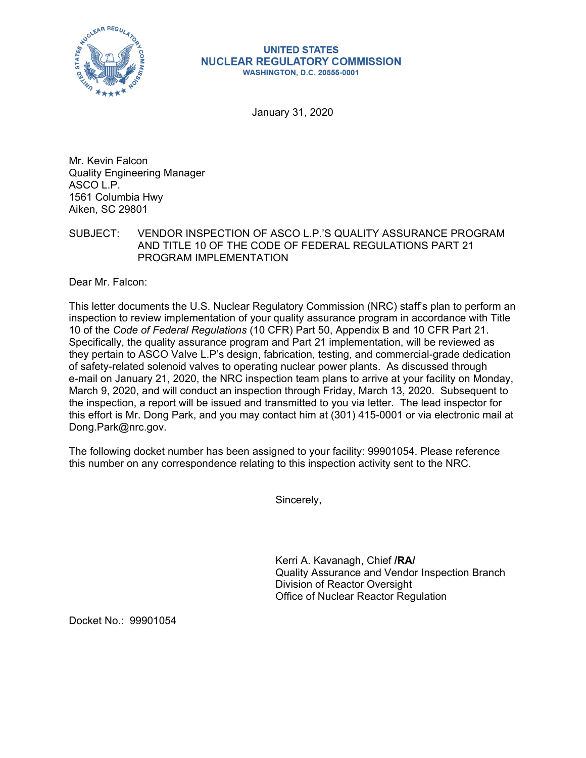

## **UNITED STATES NUCLEAR REGULATORY COMMISSION WASHINGTON, D.C. 20555-0001**

January 31, 2020

Mr. Kevin Falcon Quality Engineering Manager ASCO L.P. 1561 Columbia Hwy Aiken, SC 29801

SUBJECT: VENDOR INSPECTION OF ASCO L.P.'S QUALITY ASSURANCE PROGRAM AND TITLE 10 OF THE CODE OF FEDERAL REGULATIONS PART 21 PROGRAM IMPLEMENTATION

Dear Mr. Falcon:

This letter documents the U.S. Nuclear Regulatory Commission (NRC) staff's plan to perform an inspection to review implementation of your quality assurance program in accordance with Title 10 of the *Code of Federal Regulations* (10 CFR) Part 50, Appendix B and 10 CFR Part 21. Specifically, the quality assurance program and Part 21 implementation, will be reviewed as they pertain to ASCO Valve L.P's design, fabrication, testing, and commercial-grade dedication of safety-related solenoid valves to operating nuclear power plants. As discussed through e-mail on January 21, 2020, the NRC inspection team plans to arrive at your facility on Monday, March 9, 2020, and will conduct an inspection through Friday, March 13, 2020. Subsequent to the inspection, a report will be issued and transmitted to you via letter. The lead inspector for this effort is Mr. Dong Park, and you may contact him at (301) 415-0001 or via electronic mail at Dong.Park@nrc.gov.

The following docket number has been assigned to your facility: 99901054. Please reference this number on any correspondence relating to this inspection activity sent to the NRC.

Sincerely,

Kerri A. Kavanagh, Chief **/RA/**  Quality Assurance and Vendor Inspection Branch Division of Reactor Oversight Office of Nuclear Reactor Regulation

Docket No.: 99901054